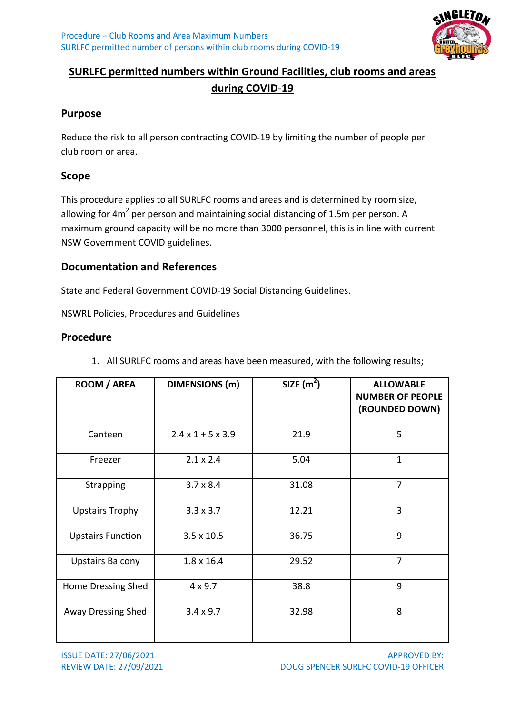

#### **SURLFC permitted numbers within Ground Facilities, club rooms and areas during COVID-19**

#### **Purpose**

Reduce the risk to all person contracting COVID-19 by limiting the number of people per club room or area.

#### **Scope**

This procedure applies to all SURLFC rooms and areas and is determined by room size, allowing for  $4m^2$  per person and maintaining social distancing of 1.5m per person. A maximum ground capacity will be no more than 3000 personnel, this is in line with current NSW Government COVID guidelines.

#### **Documentation and References**

State and Federal Government COVID-19 Social Distancing Guidelines.

NSWRL Policies, Procedures and Guidelines

#### **Procedure**

| ROOM / AREA              | <b>DIMENSIONS</b> (m)         | SIZE $(m^2)$ | <b>ALLOWABLE</b><br><b>NUMBER OF PEOPLE</b><br>(ROUNDED DOWN) |
|--------------------------|-------------------------------|--------------|---------------------------------------------------------------|
| Canteen                  | $2.4 \times 1 + 5 \times 3.9$ | 21.9         | 5                                                             |
| Freezer                  | $2.1 \times 2.4$              | 5.04         | $\mathbf 1$                                                   |
| Strapping                | $3.7 \times 8.4$              | 31.08        | $\overline{7}$                                                |
| <b>Upstairs Trophy</b>   | $3.3 \times 3.7$              | 12.21        | 3                                                             |
| <b>Upstairs Function</b> | $3.5 \times 10.5$             | 36.75        | 9                                                             |
| <b>Upstairs Balcony</b>  | $1.8 \times 16.4$             | 29.52        | $\overline{7}$                                                |
| Home Dressing Shed       | $4 \times 9.7$                | 38.8         | 9                                                             |
| Away Dressing Shed       | $3.4 \times 9.7$              | 32.98        | 8                                                             |

1. All SURLFC rooms and areas have been measured, with the following results;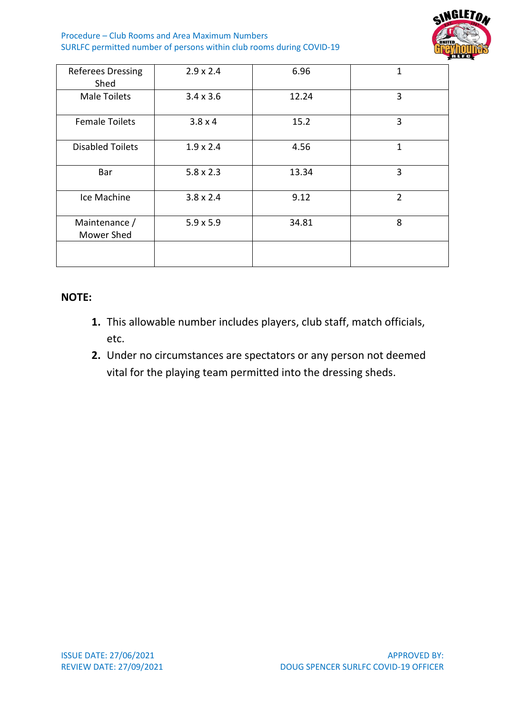Procedure – Club Rooms and Area Maximum Numbers SURLFC permitted number of persons within club rooms during COVID-19



| <b>Referees Dressing</b><br>Shed | $2.9 \times 2.4$ | 6.96  | 1              |
|----------------------------------|------------------|-------|----------------|
| <b>Male Toilets</b>              | $3.4 \times 3.6$ | 12.24 | 3              |
| <b>Female Toilets</b>            | $3.8 \times 4$   | 15.2  | 3              |
| <b>Disabled Toilets</b>          | $1.9 \times 2.4$ | 4.56  | 1              |
| Bar                              | $5.8 \times 2.3$ | 13.34 | 3              |
| Ice Machine                      | $3.8 \times 2.4$ | 9.12  | $\overline{2}$ |
| Maintenance /<br>Mower Shed      | $5.9 \times 5.9$ | 34.81 | 8              |
|                                  |                  |       |                |

#### **NOTE:**

- **1.** This allowable number includes players, club staff, match officials, etc.
- **2.** Under no circumstances are spectators or any person not deemed vital for the playing team permitted into the dressing sheds.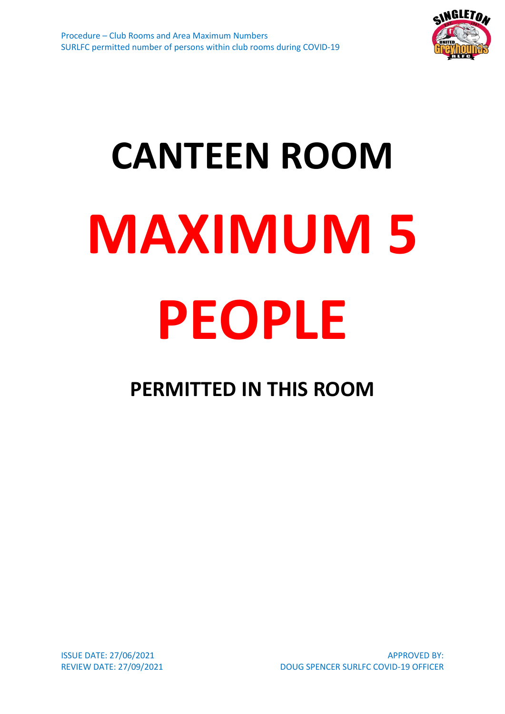

# **CANTEEN ROOM MAXIMUM 5 PEOPLE**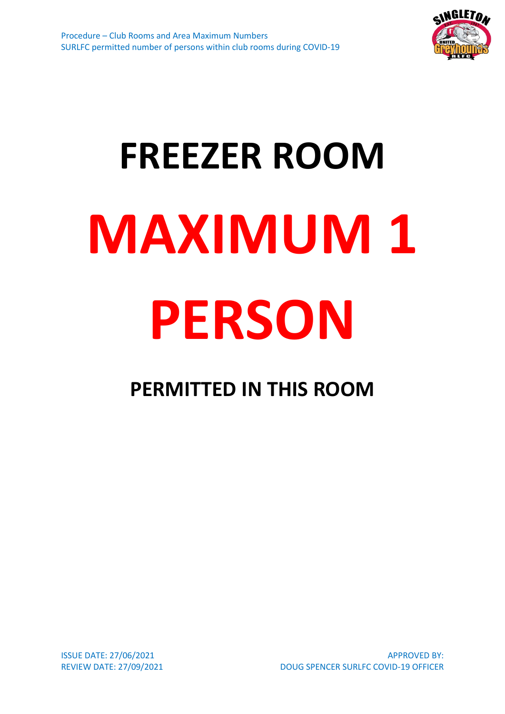

# **FREEZER ROOM MAXIMUM 1 PERSON**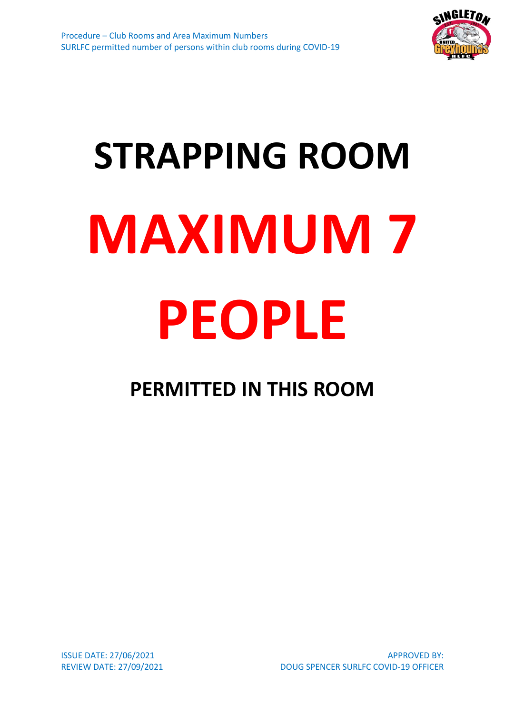

# **STRAPPING ROOM MAXIMUM 7 PEOPLE**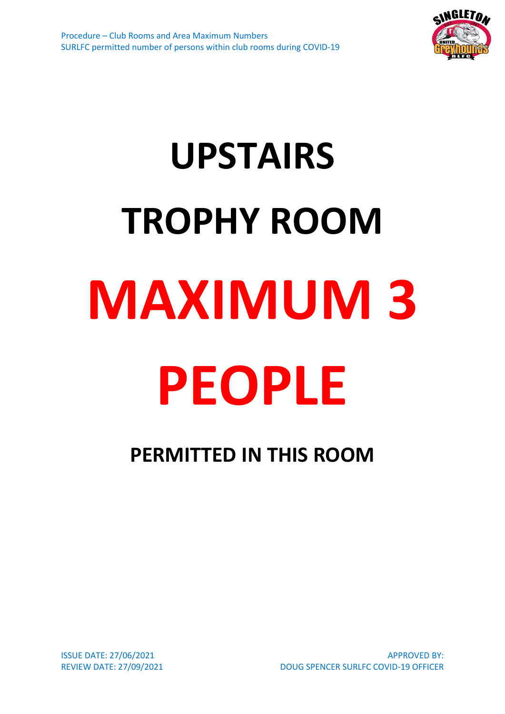

## **UPSTAIRS TROPHY ROOM MAXIMUM 3 PEOPLE**

### **PERMITTED IN THIS ROOM**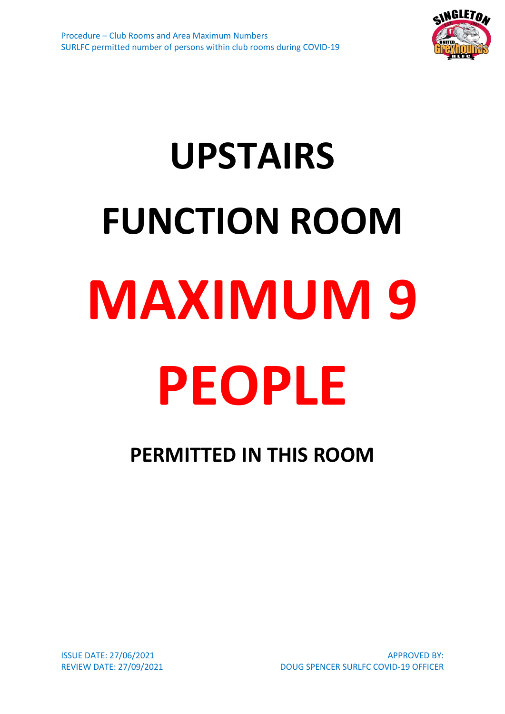

## **UPSTAIRS FUNCTION ROOM MAXIMUM 9 PEOPLE**

### **PERMITTED IN THIS ROOM**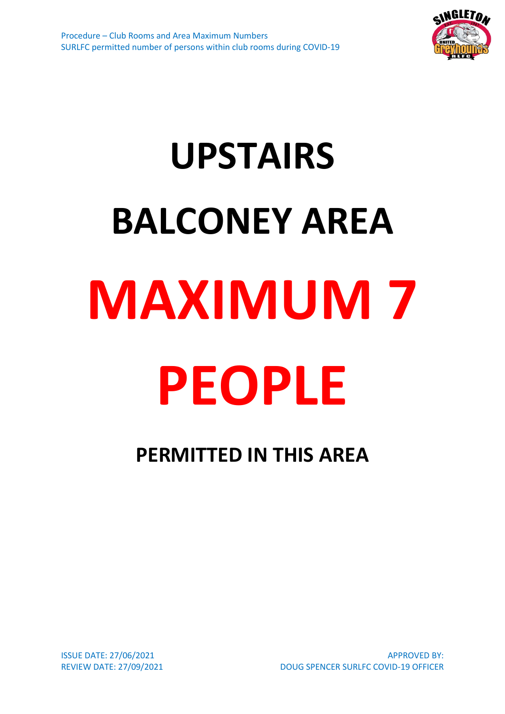

## **UPSTAIRS BALCONEY AREA MAXIMUM 7 PEOPLE**

### **PERMITTED IN THIS AREA**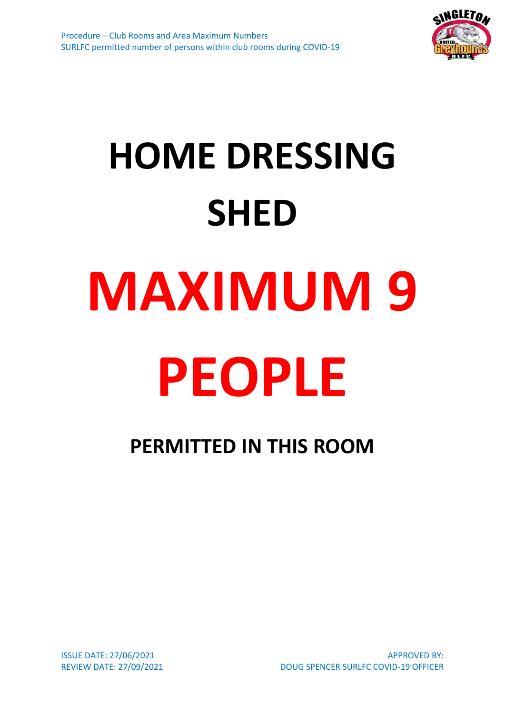

## **HOME DRESSING SHED MAXIMUM 9 PEOPLE**

**PERMITTED IN THIS ROOM**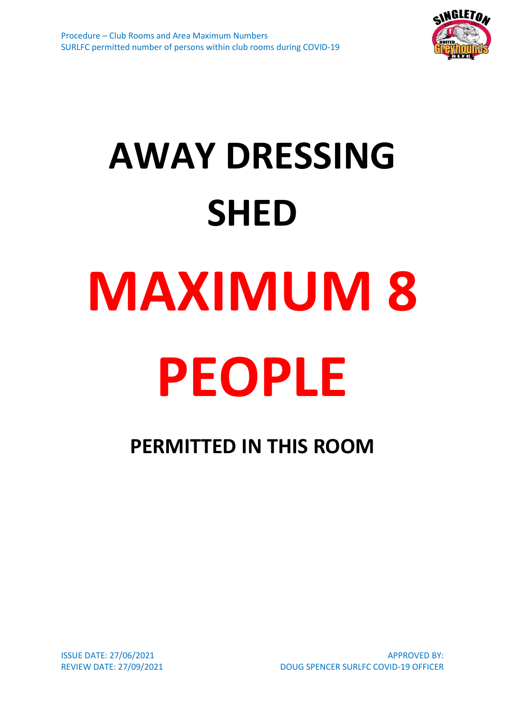

## **AWAY DRESSING SHED MAXIMUM 8 PEOPLE**

**PERMITTED IN THIS ROOM**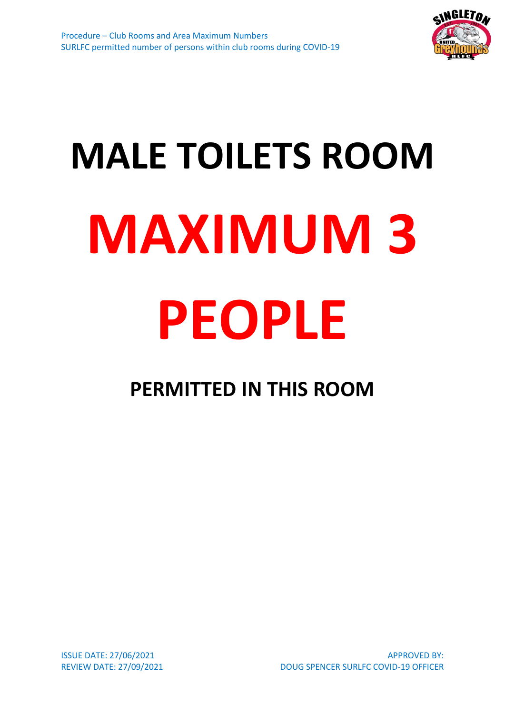

# **MALE TOILETS ROOM MAXIMUM 3 PEOPLE**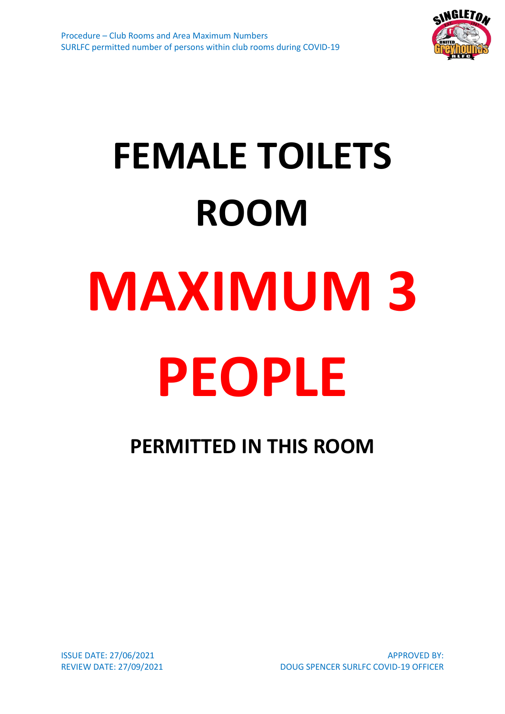

## **FEMALE TOILETS ROOM MAXIMUM 3 PEOPLE**

**PERMITTED IN THIS ROOM**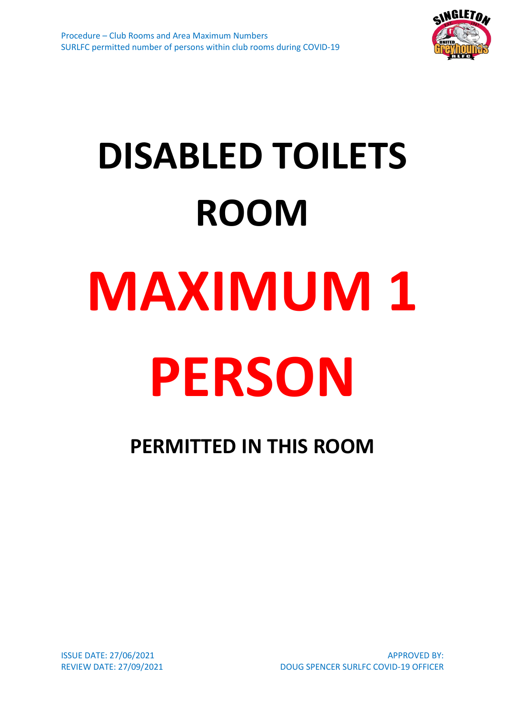

## **DISABLED TOILETS ROOM MAXIMUM 1 PERSON**

**PERMITTED IN THIS ROOM**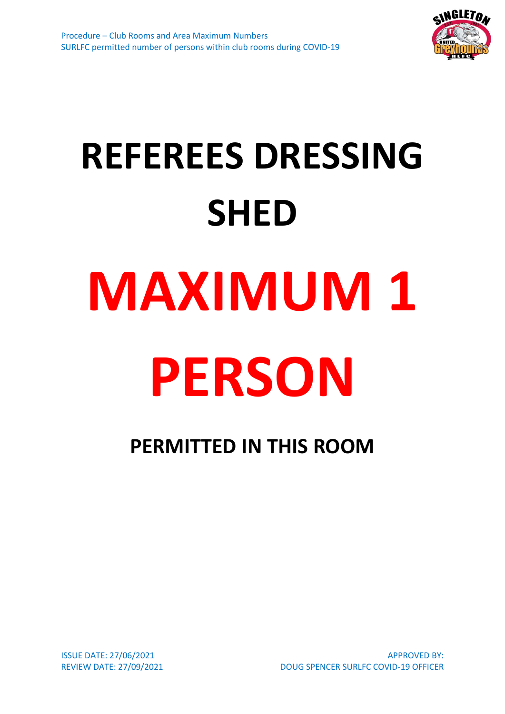

## **REFEREES DRESSING SHED MAXIMUM 1 PERSON**

**PERMITTED IN THIS ROOM**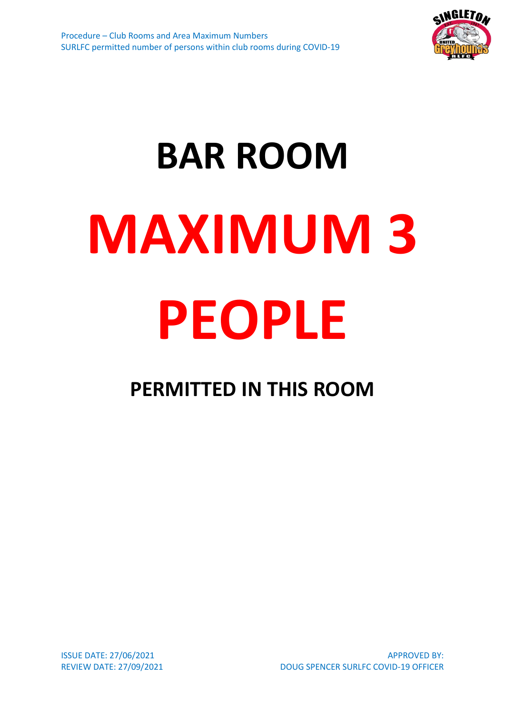

# **BAR ROOM MAXIMUM 3 PEOPLE**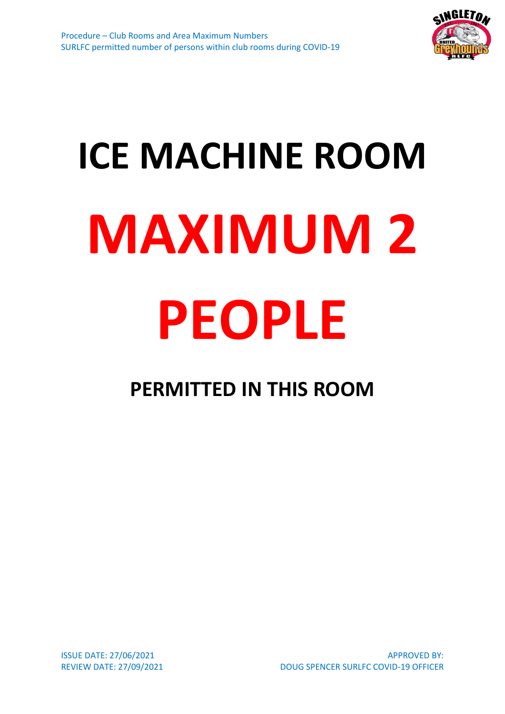

# **ICE MACHINE ROOM MAXIMUM 2 PEOPLE**